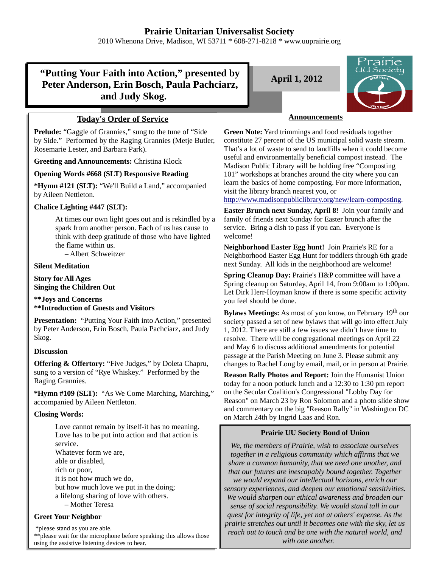2010 Whenona Drive, Madison, WI 53711 \* 608-271-8218 \* www.uuprairie.org

# **"Putting Your Faith into Action," presented by Peter Anderson, Erin Bosch, Paula Pachciarz, and Judy Skog.**

# **Today's Order of Service**

**Prelude:** "Gaggle of Grannies," sung to the tune of "Side by Side." Performed by the Raging Grannies (Metje Butler, Rosemarie Lester, and Barbara Park).

**Greeting and Announcements:** Christina Klock

### **Opening Words #668 (SLT) Responsive Reading**

**\*Hymn #121 (SLT):** "We'll Build a Land," accompanied by Aileen Nettleton.

# **Chalice Lighting #447 (SLT):**

At times our own light goes out and is rekindled by a spark from another person. Each of us has cause to think with deep gratitude of those who have lighted the flame within us.

– Albert Schweitzer

### **Silent Meditation**

**Story for All Ages Singing the Children Out**

**\*\*Joys and Concerns \*\*Introduction of Guests and Visitors**

**Presentation:** "Putting Your Faith into Action," presented by Peter Anderson, Erin Bosch, Paula Pachciarz, and Judy Skog.

### **Discussion**

**Offering & Offertory:** "Five Judges," by Doleta Chapru, sung to a version of "Rye Whiskey." Performed by the Raging Grannies.

**\*Hymn #109 (SLT):** "As We Come Marching, Marching," accompanied by Aileen Nettleton.

# **Closing Words:**

Love cannot remain by itself-it has no meaning. Love has to be put into action and that action is service. Whatever form we are, able or disabled, rich or poor, it is not how much we do, but how much love we put in the doing; a lifelong sharing of love with others. – Mother Teresa

### **Greet Your Neighbor**

 \*please stand as you are able. \*\*please wait for the microphone before speaking; this allows those using the assistive listening devices to hear.

**April 1, 2012**



# **Announcements**

**Green Note:** Yard trimmings and food residuals together constitute 27 percent of the US municipal solid waste stream. That's a lot of waste to send to landfills when it could become useful and environmentally beneficial compost instead. The Madison Public Library will be holding free "Composting 101" workshops at branches around the city where you can learn the basics of home composting. For more information, visit the library branch nearest you, or

http://www.madisonpubliclibrary.org/new/learn-composting.

**Easter Brunch next Sunday, April 8!** Join your family and family of friends next Sunday for Easter brunch after the service. Bring a dish to pass if you can. Everyone is welcome!

**Neighborhood Easter Egg hunt!** Join Prairie's RE for a Neighborhood Easter Egg Hunt for toddlers through 6th grade next Sunday. All kids in the neighborhood are welcome!

**Spring Cleanup Day:** Prairie's H&P committee will have a Spring cleanup on Saturday, April 14, from 9:00am to 1:00pm. Let Dirk Herr-Hoyman know if there is some specific activity you feel should be done.

**Bylaws Meetings:** As most of you know, on February 19<sup>th</sup> our society passed a set of new bylaws that will go into effect July 1, 2012. There are still a few issues we didn't have time to resolve. There will be congregational meetings on April 22 and May 6 to discuss additional amendments for potential passage at the Parish Meeting on June 3. Please submit any changes to Rachel Long by email, mail, or in person at Prairie.

**Reason Rally Photos and Report:** Join the Humanist Union today for a noon potluck lunch and a 12:30 to 1:30 pm report on the Secular Coalition's Congressional "Lobby Day for Reason" on March 23 by Ron Solomon and a photo slide show and commentary on the big "Reason Rally" in Washington DC on March 24th by Ingrid Laas and Ron.

# **Prairie UU Society Bond of Union**

*We, the members of Prairie, wish to associate ourselves together in a religious community which affirms that we share a common humanity, that we need one another, and that our futures are inescapably bound together. Together we would expand our intellectual horizons, enrich our sensory experiences, and deepen our emotional sensitivities. We would sharpen our ethical awareness and broaden our sense of social responsibility. We would stand tall in our quest for integrity of life, yet not at others' expense. As the prairie stretches out until it becomes one with the sky, let us reach out to touch and be one with the natural world, and with one another.*